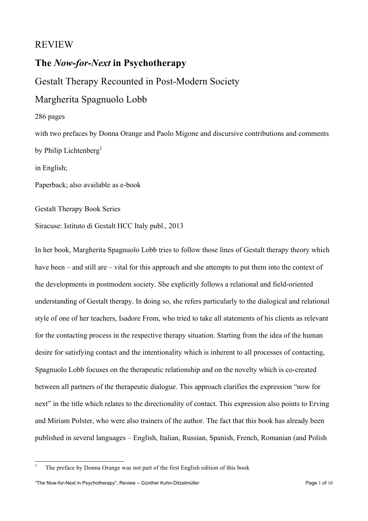### REVIEW

# **The** *Now-for-Next* **in Psychotherapy**

Gestalt Therapy Recounted in Post-Modern Society

# Margherita Spagnuolo Lobb

#### 286 pages

with two prefaces by Donna Orange and Paolo Migone and discursive contributions and comments by Philip Lichtenberg<sup>1</sup>

in English;

Paperback; also available as e-book

Gestalt Therapy Book Series

Siracuse: Istituto di Gestalt HCC Italy publ., 2013

In her book, Margherita Spagnuolo Lobb tries to follow those lines of Gestalt therapy theory which have been – and still are – vital for this approach and she attempts to put them into the context of the developments in postmodern society. She explicitly follows a relational and field-oriented understanding of Gestalt therapy. In doing so, she refers particularly to the dialogical and relational style of one of her teachers, Isadore From, who tried to take all statements of his clients as relevant for the contacting process in the respective therapy situation. Starting from the idea of the human desire for satisfying contact and the intentionality which is inherent to all processes of contacting, Spagnuolo Lobb focuses on the therapeutic relationship and on the novelty which is co-created between all partners of the therapeutic dialogue. This approach clarifies the expression "now for next" in the title which relates to the directionality of contact. This expression also points to Erving and Miriam Polster, who were also trainers of the author. The fact that this book has already been published in several languages – English, Italian, Russian, Spanish, French, Romanian (and Polish

<sup>&</sup>lt;sup>1</sup> The preface by Donna Orange was not part of the first English edition of this book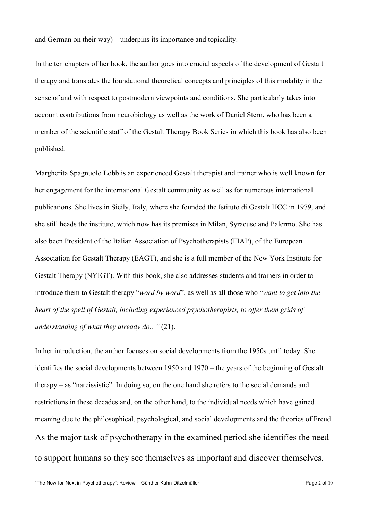and German on their way) – underpins its importance and topicality.

In the ten chapters of her book, the author goes into crucial aspects of the development of Gestalt therapy and translates the foundational theoretical concepts and principles of this modality in the sense of and with respect to postmodern viewpoints and conditions. She particularly takes into account contributions from neurobiology as well as the work of Daniel Stern, who has been a member of the scientific staff of the Gestalt Therapy Book Series in which this book has also been published.

Margherita Spagnuolo Lobb is an experienced Gestalt therapist and trainer who is well known for her engagement for the international Gestalt community as well as for numerous international publications. She lives in Sicily, Italy, where she founded the Istituto di Gestalt HCC in 1979, and she still heads the institute, which now has its premises in Milan, Syracuse and Palermo. She has also been President of the Italian Association of Psychotherapists (FIAP), of the European Association for Gestalt Therapy (EAGT), and she is a full member of the New York Institute for Gestalt Therapy (NYIGT). With this book, she also addresses students and trainers in order to introduce them to Gestalt therapy "*word by word*", as well as all those who "*want to get into the heart of the spell of Gestalt, including experienced psychotherapists, to offer them grids of understanding of what they already do..."* (21).

In her introduction, the author focuses on social developments from the 1950s until today. She identifies the social developments between 1950 and 1970 – the years of the beginning of Gestalt therapy – as "narcissistic". In doing so, on the one hand she refers to the social demands and restrictions in these decades and, on the other hand, to the individual needs which have gained meaning due to the philosophical, psychological, and social developments and the theories of Freud. As the major task of psychotherapy in the examined period she identifies the need to support humans so they see themselves as important and discover themselves.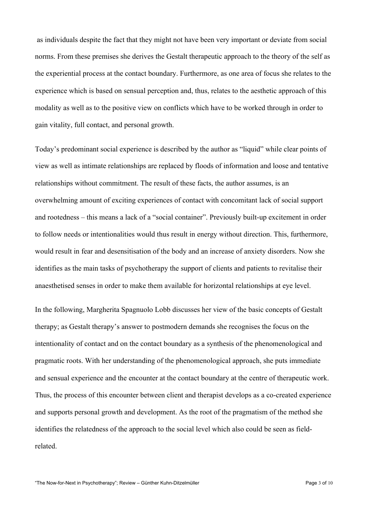as individuals despite the fact that they might not have been very important or deviate from social norms. From these premises she derives the Gestalt therapeutic approach to the theory of the self as the experiential process at the contact boundary. Furthermore, as one area of focus she relates to the experience which is based on sensual perception and, thus, relates to the aesthetic approach of this modality as well as to the positive view on conflicts which have to be worked through in order to gain vitality, full contact, and personal growth.

Today's predominant social experience is described by the author as "liquid" while clear points of view as well as intimate relationships are replaced by floods of information and loose and tentative relationships without commitment. The result of these facts, the author assumes, is an overwhelming amount of exciting experiences of contact with concomitant lack of social support and rootedness – this means a lack of a "social container". Previously built-up excitement in order to follow needs or intentionalities would thus result in energy without direction. This, furthermore, would result in fear and desensitisation of the body and an increase of anxiety disorders. Now she identifies as the main tasks of psychotherapy the support of clients and patients to revitalise their anaesthetised senses in order to make them available for horizontal relationships at eye level.

In the following, Margherita Spagnuolo Lobb discusses her view of the basic concepts of Gestalt therapy; as Gestalt therapy's answer to postmodern demands she recognises the focus on the intentionality of contact and on the contact boundary as a synthesis of the phenomenological and pragmatic roots. With her understanding of the phenomenological approach, she puts immediate and sensual experience and the encounter at the contact boundary at the centre of therapeutic work. Thus, the process of this encounter between client and therapist develops as a co-created experience and supports personal growth and development. As the root of the pragmatism of the method she identifies the relatedness of the approach to the social level which also could be seen as fieldrelated.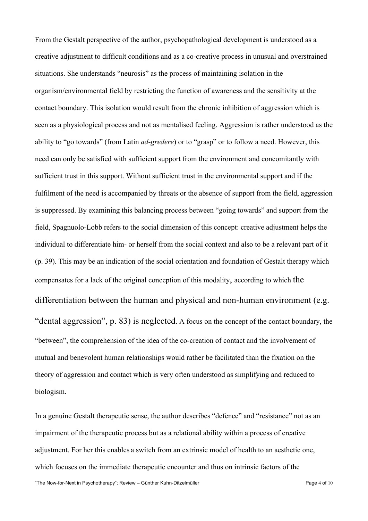From the Gestalt perspective of the author, psychopathological development is understood as a creative adjustment to difficult conditions and as a co-creative process in unusual and overstrained situations. She understands "neurosis" as the process of maintaining isolation in the organism/environmental field by restricting the function of awareness and the sensitivity at the contact boundary. This isolation would result from the chronic inhibition of aggression which is seen as a physiological process and not as mentalised feeling. Aggression is rather understood as the ability to "go towards" (from Latin *ad-gredere*) or to "grasp" or to follow a need. However, this need can only be satisfied with sufficient support from the environment and concomitantly with sufficient trust in this support. Without sufficient trust in the environmental support and if the fulfilment of the need is accompanied by threats or the absence of support from the field, aggression is suppressed. By examining this balancing process between "going towards" and support from the field, Spagnuolo-Lobb refers to the social dimension of this concept: creative adjustment helps the individual to differentiate him- or herself from the social context and also to be a relevant part of it (p. 39). This may be an indication of the social orientation and foundation of Gestalt therapy which compensates for a lack of the original conception of this modality, according to which the differentiation between the human and physical and non-human environment (e.g. "dental aggression", p. 83) is neglected. A focus on the concept of the contact boundary, the "between", the comprehension of the idea of the co-creation of contact and the involvement of mutual and benevolent human relationships would rather be facilitated than the fixation on the theory of aggression and contact which is very often understood as simplifying and reduced to biologism.

In a genuine Gestalt therapeutic sense, the author describes "defence" and "resistance" not as an impairment of the therapeutic process but as a relational ability within a process of creative adjustment. For her this enables a switch from an extrinsic model of health to an aesthetic one, which focuses on the immediate therapeutic encounter and thus on intrinsic factors of the

"The Now-for-Next in Psychotherapy"; Review – Günther Kuhn-Ditzelmüller Page 4 of 10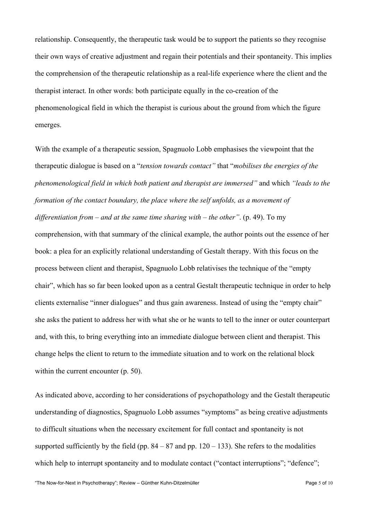relationship. Consequently, the therapeutic task would be to support the patients so they recognise their own ways of creative adjustment and regain their potentials and their spontaneity. This implies the comprehension of the therapeutic relationship as a real-life experience where the client and the therapist interact. In other words: both participate equally in the co-creation of the phenomenological field in which the therapist is curious about the ground from which the figure emerges.

With the example of a therapeutic session, Spagnuolo Lobb emphasises the viewpoint that the therapeutic dialogue is based on a "*tension towards contact"* that "*mobilises the energies of the phenomenological field in which both patient and therapist are immersed"* and which *"leads to the formation of the contact boundary, the place where the self unfolds, as a movement of differentiation from – and at the same time sharing with – the other"*. (p. 49). To my comprehension, with that summary of the clinical example, the author points out the essence of her book: a plea for an explicitly relational understanding of Gestalt therapy. With this focus on the process between client and therapist, Spagnuolo Lobb relativises the technique of the "empty chair", which has so far been looked upon as a central Gestalt therapeutic technique in order to help clients externalise "inner dialogues" and thus gain awareness. Instead of using the "empty chair" she asks the patient to address her with what she or he wants to tell to the inner or outer counterpart and, with this, to bring everything into an immediate dialogue between client and therapist. This change helps the client to return to the immediate situation and to work on the relational block within the current encounter (p. 50).

As indicated above, according to her considerations of psychopathology and the Gestalt therapeutic understanding of diagnostics, Spagnuolo Lobb assumes "symptoms" as being creative adjustments to difficult situations when the necessary excitement for full contact and spontaneity is not supported sufficiently by the field (pp.  $84 - 87$  and pp.  $120 - 133$ ). She refers to the modalities which help to interrupt spontaneity and to modulate contact ("contact interruptions": "defence":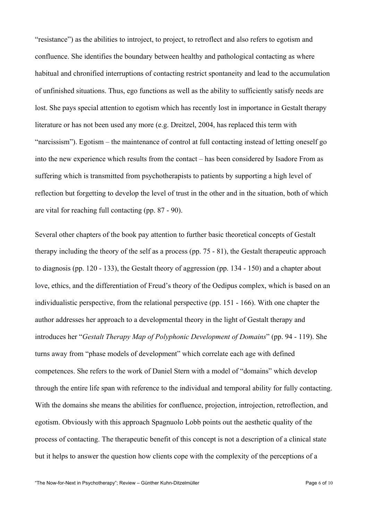"resistance") as the abilities to introject, to project, to retroflect and also refers to egotism and confluence. She identifies the boundary between healthy and pathological contacting as where habitual and chronified interruptions of contacting restrict spontaneity and lead to the accumulation of unfinished situations. Thus, ego functions as well as the ability to sufficiently satisfy needs are lost. She pays special attention to egotism which has recently lost in importance in Gestalt therapy literature or has not been used any more (e.g. Dreitzel, 2004, has replaced this term with "narcissism"). Egotism – the maintenance of control at full contacting instead of letting oneself go into the new experience which results from the contact – has been considered by Isadore From as suffering which is transmitted from psychotherapists to patients by supporting a high level of reflection but forgetting to develop the level of trust in the other and in the situation, both of which are vital for reaching full contacting (pp. 87 - 90).

Several other chapters of the book pay attention to further basic theoretical concepts of Gestalt therapy including the theory of the self as a process (pp. 75 - 81), the Gestalt therapeutic approach to diagnosis (pp. 120 - 133), the Gestalt theory of aggression (pp. 134 - 150) and a chapter about love, ethics, and the differentiation of Freud's theory of the Oedipus complex, which is based on an individualistic perspective, from the relational perspective (pp. 151 - 166). With one chapter the author addresses her approach to a developmental theory in the light of Gestalt therapy and introduces her "*Gestalt Therapy Map of Polyphonic Development of Domains*" (pp. 94 - 119). She turns away from "phase models of development" which correlate each age with defined competences. She refers to the work of Daniel Stern with a model of "domains" which develop through the entire life span with reference to the individual and temporal ability for fully contacting. With the domains she means the abilities for confluence, projection, introjection, retroflection, and egotism. Obviously with this approach Spagnuolo Lobb points out the aesthetic quality of the process of contacting. The therapeutic benefit of this concept is not a description of a clinical state but it helps to answer the question how clients cope with the complexity of the perceptions of a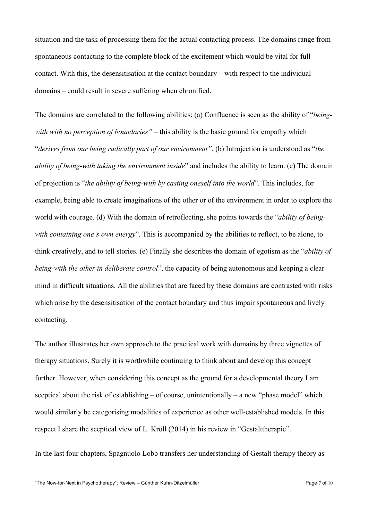situation and the task of processing them for the actual contacting process. The domains range from spontaneous contacting to the complete block of the excitement which would be vital for full contact. With this, the desensitisation at the contact boundary – with respect to the individual domains – could result in severe suffering when chronified.

The domains are correlated to the following abilities: (a) Confluence is seen as the ability of "*beingwith with no perception of boundaries"* – this ability is the basic ground for empathy which "*derives from our being radically part of our environment"*. (b) Introjection is understood as "*the ability of being-with taking the environment inside*" and includes the ability to learn. (c) The domain of projection is "*the ability of being-with by casting oneself into the world*". This includes, for example, being able to create imaginations of the other or of the environment in order to explore the world with courage. (d) With the domain of retroflecting, she points towards the "*ability of beingwith containing one's own energy*". This is accompanied by the abilities to reflect, to be alone, to think creatively, and to tell stories. (e) Finally she describes the domain of egotism as the "*ability of being-with the other in deliberate control*", the capacity of being autonomous and keeping a clear mind in difficult situations. All the abilities that are faced by these domains are contrasted with risks which arise by the desensitisation of the contact boundary and thus impair spontaneous and lively contacting.

The author illustrates her own approach to the practical work with domains by three vignettes of therapy situations. Surely it is worthwhile continuing to think about and develop this concept further. However, when considering this concept as the ground for a developmental theory I am sceptical about the risk of establishing – of course, unintentionally – a new "phase model" which would similarly be categorising modalities of experience as other well-established models. In this respect I share the sceptical view of L. Kröll (2014) in his review in "Gestalttherapie".

In the last four chapters, Spagnuolo Lobb transfers her understanding of Gestalt therapy theory as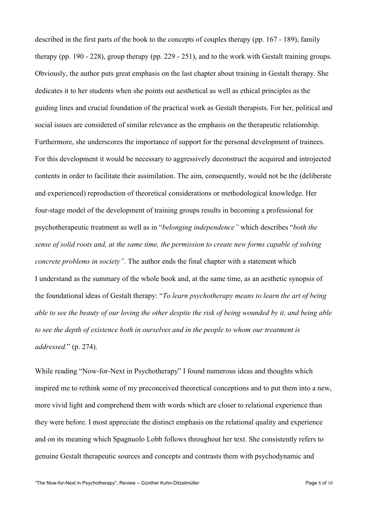described in the first parts of the book to the concepts of couples therapy (pp. 167 - 189), family therapy (pp. 190 - 228), group therapy (pp. 229 - 251), and to the work with Gestalt training groups. Obviously, the author puts great emphasis on the last chapter about training in Gestalt therapy. She dedicates it to her students when she points out aesthetical as well as ethical principles as the guiding lines and crucial foundation of the practical work as Gestalt therapists. For her, political and social issues are considered of similar relevance as the emphasis on the therapeutic relationship. Furthermore, she underscores the importance of support for the personal development of trainees. For this development it would be necessary to aggressively deconstruct the acquired and introjected contents in order to facilitate their assimilation. The aim, consequently, would not be the (deliberate and experienced) reproduction of theoretical considerations or methodological knowledge. Her four-stage model of the development of training groups results in becoming a professional for psychotherapeutic treatment as well as in "*belonging independence"* which describes "*both the sense of solid roots and, at the same time, the permission to create new forms capable of solving concrete problems in society".* The author ends the final chapter with a statement which I understand as the summary of the whole book and, at the same time, as an aesthetic synopsis of the foundational ideas of Gestalt therapy: "*To learn psychotherapy means to learn the art of being able to see the beauty of our loving the other despite the risk of being wounded by it, and being able to see the depth of existence both in ourselves and in the people to whom our treatment is addressed.*" (p. 274).

While reading "Now-for-Next in Psychotherapy" I found numerous ideas and thoughts which inspired me to rethink some of my preconceived theoretical conceptions and to put them into a new, more vivid light and comprehend them with words which are closer to relational experience than they were before. I most appreciate the distinct emphasis on the relational quality and experience and on its meaning which Spagnuolo Lobb follows throughout her text. She consistently refers to genuine Gestalt therapeutic sources and concepts and contrasts them with psychodynamic and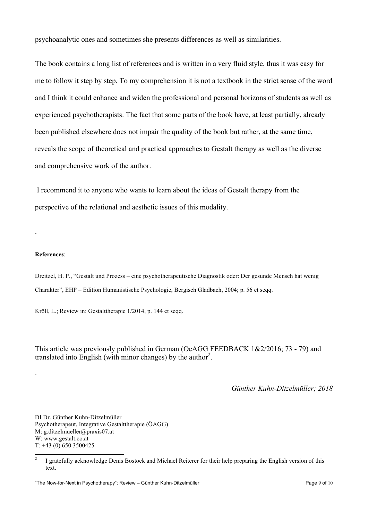psychoanalytic ones and sometimes she presents differences as well as similarities.

The book contains a long list of references and is written in a very fluid style, thus it was easy for me to follow it step by step. To my comprehension it is not a textbook in the strict sense of the word and I think it could enhance and widen the professional and personal horizons of students as well as experienced psychotherapists. The fact that some parts of the book have, at least partially, already been published elsewhere does not impair the quality of the book but rather, at the same time, reveals the scope of theoretical and practical approaches to Gestalt therapy as well as the diverse and comprehensive work of the author.

I recommend it to anyone who wants to learn about the ideas of Gestalt therapy from the perspective of the relational and aesthetic issues of this modality.

#### **References**:

.

.

Dreitzel, H. P., "Gestalt und Prozess – eine psychotherapeutische Diagnostik oder: Der gesunde Mensch hat wenig Charakter", EHP – Edition Humanistische Psychologie, Bergisch Gladbach, 2004; p. 56 et seqq.

Kröll, L.; Review in: Gestalttherapie 1/2014, p. 144 et seqq.

This article was previously published in German (OeAGG FEEDBACK 1&2/2016; 73 - 79) and translated into English (with minor changes) by the author<sup>2</sup>.

*Günther Kuhn-Ditzelmüller; 2018*

DI Dr. Günther Kuhn-Ditzelmüller Psychotherapeut, Integrative Gestalttherapie (ÖAGG) M: g.ditzelmueller@praxis07.at W: www.gestalt.co.at  $T: +43(0)6503500425$ 

<sup>&</sup>lt;sup>2</sup> I gratefully acknowledge Denis Bostock and Michael Reiterer for their help preparing the English version of this text.